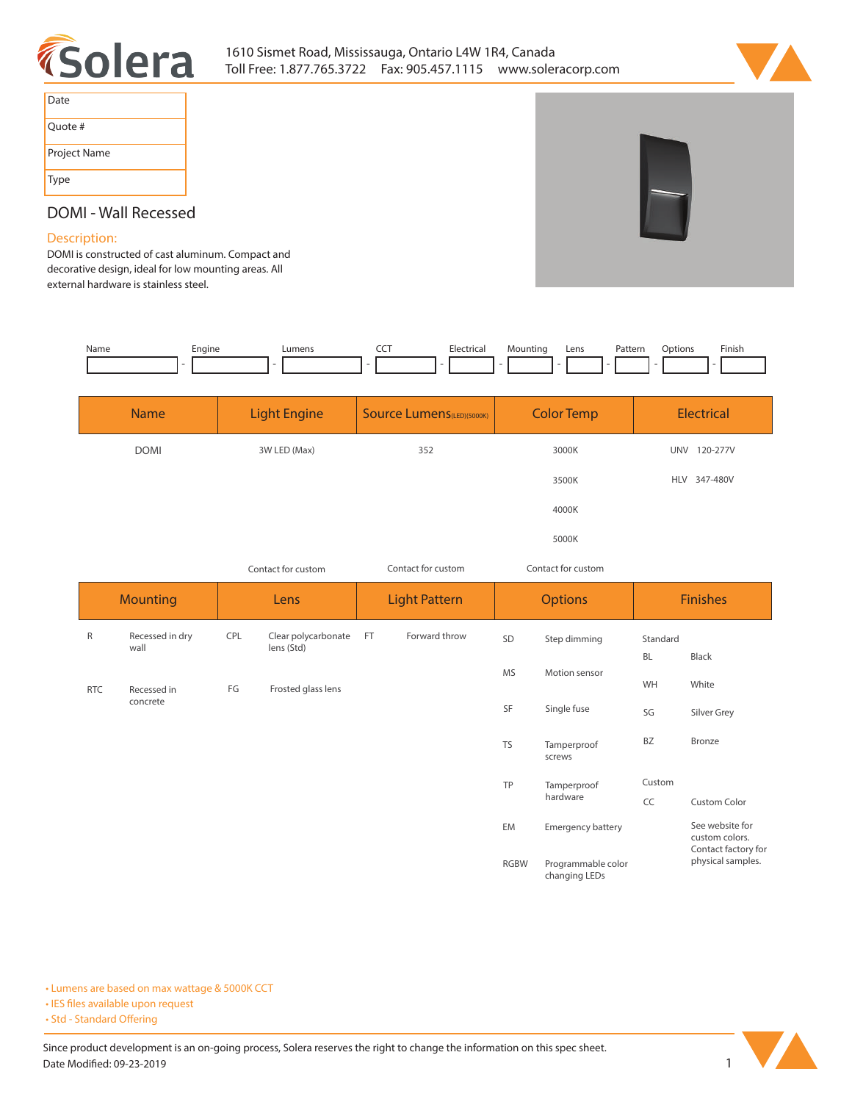



| Date         |
|--------------|
| Quote #      |
| Project Name |
| <b>Type</b>  |

# **DOMI - Wall Recessed**

### **Description:**

**DOMI is constructed of cast aluminum. Compact and decorative design, ideal for low mounting areas. All external hardware is stainless steel.** 

| Name | Engine | umens_ | --- | Electrica<br>.           | Mountina | Lens | Pattern | <b>Options</b> | Finish |
|------|--------|--------|-----|--------------------------|----------|------|---------|----------------|--------|
|      |        |        |     | $\overline{\phantom{a}}$ |          |      |         |                |        |
|      |        |        |     |                          |          |      |         |                |        |

| <b>Name</b> | <b>Light Engine</b> | Source Lumens(LED)(5000K) | <b>Color Temp</b> | Electrical             |
|-------------|---------------------|---------------------------|-------------------|------------------------|
| <b>DOMI</b> | 3W LED (Max)        | 352                       | 3000K             | <b>UNV</b><br>120-277V |
|             |                     |                           | 3500K             | HLV 347-480V           |
|             |                     |                           | 4000K             |                        |
|             |                     |                           | 5000K             |                        |

| Contact for custom |                         |            | Contact for custom                |                      |               | Contact for custom |                         |                 |                                                          |  |
|--------------------|-------------------------|------------|-----------------------------------|----------------------|---------------|--------------------|-------------------------|-----------------|----------------------------------------------------------|--|
| <b>Mounting</b>    |                         | Lens       |                                   | <b>Light Pattern</b> |               |                    | <b>Options</b>          | <b>Finishes</b> |                                                          |  |
| R                  | Recessed in dry<br>wall | <b>CPL</b> | Clear polycarbonate<br>lens (Std) | FT                   | Forward throw | SD                 | Step dimming            | Standard        |                                                          |  |
|                    |                         | FG         | Frosted glass lens                |                      |               |                    | Motion sensor           | BL              | Black                                                    |  |
| <b>RTC</b>         | Recessed in<br>concrete |            |                                   |                      |               | <b>MS</b>          |                         | WH              | White                                                    |  |
|                    |                         |            |                                   |                      |               | SF                 | Single fuse             | SG              | Silver Grey                                              |  |
|                    |                         |            |                                   |                      |               | <b>TS</b>          | Tamperproof<br>screws   | BZ              | Bronze                                                   |  |
|                    |                         |            |                                   |                      |               | TP                 | Tamperproof<br>hardware | Custom          |                                                          |  |
|                    |                         |            |                                   |                      |               |                    |                         | CC              | <b>Custom Color</b>                                      |  |
|                    |                         |            |                                   |                      |               | EM                 | Emergency battery       |                 | See website for<br>custom colors.<br>Contact factory for |  |

**RGBW Programmable color changing LEDs**

**• Lumens are based on max wattage & 5000K CCT**

**• IES files available upon request** 

• Std - Standard Offering

Since product development is an on-going process, Solera reserves the right to change the information on this spec sheet. **Date Modified: 09-23-2019** 1



**physical samples.**